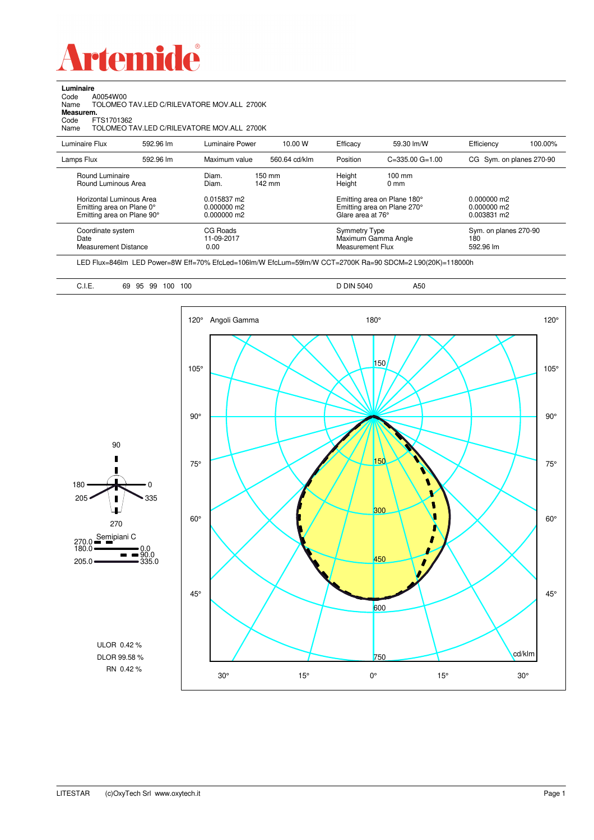

**Luminaire**<br>Code *A*<br>Name T Code A0054W00 Name TOLOMEO TAV.LED C/RILEVATORE MOV.ALL 2700K

**Measurem.**

Code FTS1701362 Name TOLOMEO TAV.LED C/RILEVATORE MOV.ALL 2700K

| Luminaire Flux                                                     | 592.96 lm | Luminaire Power                | 10.00 W          | Efficacy                          | 59.30 lm/W                                                        | Efficiency                                | 100.00% |
|--------------------------------------------------------------------|-----------|--------------------------------|------------------|-----------------------------------|-------------------------------------------------------------------|-------------------------------------------|---------|
| Lamps Flux                                                         | 592.96 lm | Maximum value                  | 560.64 cd/klm    | Position                          | $C = 335.00$ $G = 1.00$                                           | CG Sym. on planes 270-90                  |         |
| Round Luminaire<br>Round Luminous Area<br>Horizontal Luminous Area |           | Diam.<br>Diam.<br>0.015837 m2  | 150 mm<br>142 mm | Height<br>Height                  | $100 \text{ mm}$<br>$0 \text{ mm}$<br>Emitting area on Plane 180° | $0.000000$ m2                             |         |
| Emitting area on Plane 0°<br>Emitting area on Plane 90°            |           | $0.000000$ m2<br>$0.000000$ m2 |                  | Glare area at 76°                 | Emitting area on Plane 270°                                       | $0.000000$ m2<br>0.003831 m2              |         |
| Coordinate system<br>Date<br>Measurement Distance                  |           | CG Roads<br>11-09-2017<br>0.00 |                  | Symmetry Type<br>Measurement Flux | Maximum Gamma Angle                                               | Sym. on planes 270-90<br>180<br>592.96 lm |         |

LED Flux=846lm LED Power=8W Eff=70% EfcLed=106lm/W EfcLum=59lm/W CCT=2700K Ra=90 SDCM=2 L90(20K)=118000h